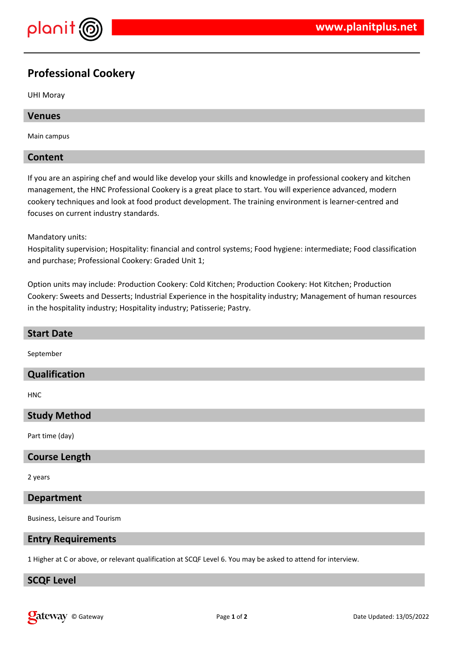

# **Professional Cookery**

UHI Moray

#### **Venues**

Main campus

#### **Content**

If you are an aspiring chef and would like develop your skills and knowledge in professional cookery and kitchen management, the HNC Professional Cookery is a great place to start. You will experience advanced, modern cookery techniques and look at food product development. The training environment is learner-centred and focuses on current industry standards.

#### Mandatory units:

Hospitality supervision; Hospitality: financial and control systems; Food hygiene: intermediate; Food classification and purchase; Professional Cookery: Graded Unit 1;

Option units may include: Production Cookery: Cold Kitchen; Production Cookery: Hot Kitchen; Production Cookery: Sweets and Desserts; Industrial Experience in the hospitality industry; Management of human resources in the hospitality industry; Hospitality industry; Patisserie; Pastry.

| <b>Start Date</b>    |
|----------------------|
| September            |
| <b>Qualification</b> |
| <b>HNC</b>           |
| <b>Study Method</b>  |
| Part time (day)      |
| <b>Course Length</b> |
| 2 years              |

#### **Department**

Business, Leisure and Tourism

#### **Entry Requirements**

1 Higher at C or above, or relevant qualification at SCQF Level 6. You may be asked to attend for interview.

#### **SCQF Level**